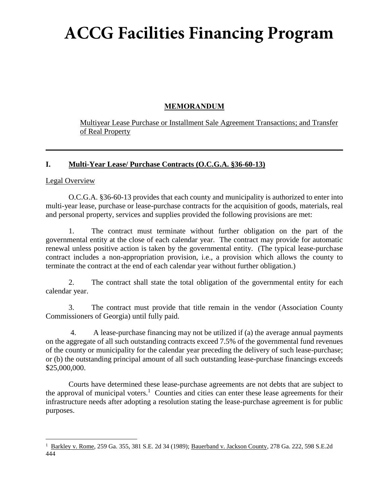# **ACCG Facilities Financing Program**

## **MEMORANDUM**

Multiyear Lease Purchase or Installment Sale Agreement Transactions; and Transfer of Real Property

## **I. Multi-Year Lease/ Purchase Contracts (O.C.G.A. §36-60-13)**

#### Legal Overview

O.C.G.A. §36-60-13 provides that each county and municipality is authorized to enter into multi-year lease, purchase or lease-purchase contracts for the acquisition of goods, materials, real and personal property, services and supplies provided the following provisions are met:

1. The contract must terminate without further obligation on the part of the governmental entity at the close of each calendar year. The contract may provide for automatic renewal unless positive action is taken by the governmental entity. (The typical lease-purchase contract includes a non-appropriation provision, i.e., a provision which allows the county to terminate the contract at the end of each calendar year without further obligation.)

2. The contract shall state the total obligation of the governmental entity for each calendar year.

3. The contract must provide that title remain in the vendor (Association County Commissioners of Georgia) until fully paid.

4. A lease-purchase financing may not be utilized if (a) the average annual payments on the aggregate of all such outstanding contracts exceed 7.5% of the governmental fund revenues of the county or municipality for the calendar year preceding the delivery of such lease-purchase; or (b) the outstanding principal amount of all such outstanding lease-purchase financings exceeds \$25,000,000.

Courts have determined these lease-purchase agreements are not debts that are subject to the approval of municipal voters.<sup>1</sup> Counties and cities can enter these lease agreements for their infrastructure needs after adopting a resolution stating the lease-purchase agreement is for public purposes.

<sup>&</sup>lt;sup>1</sup> Barkley v. Rome, 259 Ga. 355, 381 S.E. 2d 34 (1989); Bauerband v. Jackson County, 278 Ga. 222, 598 S.E.2d 444